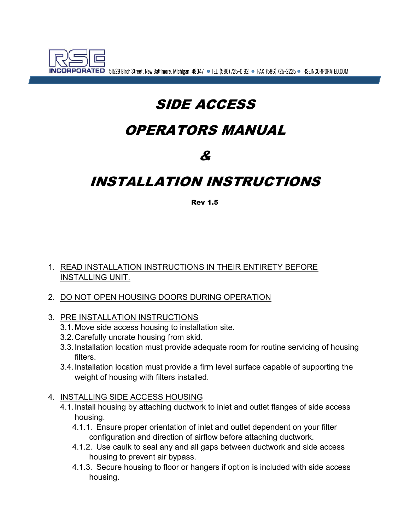

**ORATED** 51529 Birch Street, New Baltimore, Michigan, 48047 • TEL (586) 725-0192 • FAX (586) 725-2225 • RSEINCORPORATED.COM

# SIDE ACCESS

## OPERATORS MANUAL

## &

## INSTALLATION INSTRUCTIONS

#### Rev 1.5

#### 1. READ INSTALLATION INSTRUCTIONS IN THEIR ENTIRETY BEFORE INSTALLING UNIT.

- 2. DO NOT OPEN HOUSING DOORS DURING OPERATION
- 3. PRE INSTALLATION INSTRUCTIONS
	- 3.1. Move side access housing to installation site.
	- 3.2. Carefully uncrate housing from skid.
	- 3.3. Installation location must provide adequate room for routine servicing of housing filters.
	- 3.4. Installation location must provide a firm level surface capable of supporting the weight of housing with filters installed.

#### 4. INSTALLING SIDE ACCESS HOUSING

- 4.1. Install housing by attaching ductwork to inlet and outlet flanges of side access housing.
	- 4.1.1. Ensure proper orientation of inlet and outlet dependent on your filter configuration and direction of airflow before attaching ductwork.
	- 4.1.2. Use caulk to seal any and all gaps between ductwork and side access housing to prevent air bypass.
	- 4.1.3. Secure housing to floor or hangers if option is included with side access housing.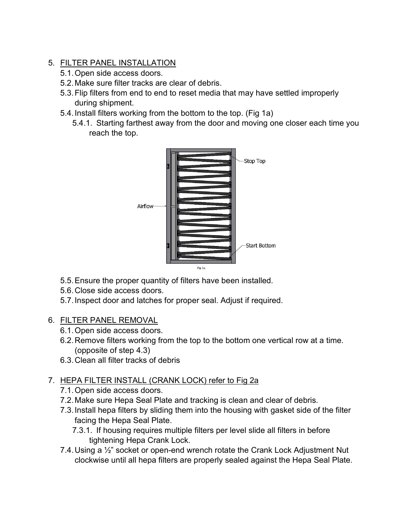- 5. FILTER PANEL INSTALLATION
	- 5.1. Open side access doors.
	- 5.2. Make sure filter tracks are clear of debris.
	- 5.3. Flip filters from end to end to reset media that may have settled improperly during shipment.
	- 5.4. Install filters working from the bottom to the top. (Fig 1a)
		- 5.4.1. Starting farthest away from the door and moving one closer each time you reach the top.



- 5.5. Ensure the proper quantity of filters have been installed.
- 5.6. Close side access doors.
- 5.7. Inspect door and latches for proper seal. Adjust if required.

### 6. FILTER PANEL REMOVAL

- 6.1. Open side access doors.
- 6.2. Remove filters working from the top to the bottom one vertical row at a time. (opposite of step 4.3)
- 6.3. Clean all filter tracks of debris

### 7. HEPA FILTER INSTALL (CRANK LOCK) refer to Fig 2a

- 7.1. Open side access doors.
- 7.2. Make sure Hepa Seal Plate and tracking is clean and clear of debris.
- 7.3. Install hepa filters by sliding them into the housing with gasket side of the filter facing the Hepa Seal Plate.
	- 7.3.1. If housing requires multiple filters per level slide all filters in before tightening Hepa Crank Lock.
- 7.4. Using a ½" socket or open-end wrench rotate the Crank Lock Adjustment Nut clockwise until all hepa filters are properly sealed against the Hepa Seal Plate.